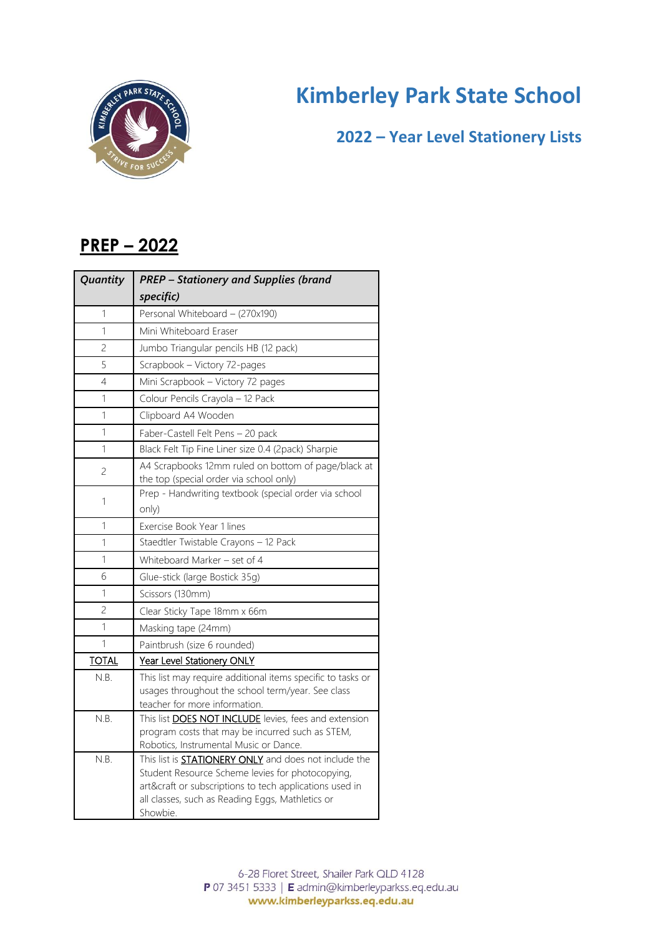# **Kimberley Park State School**



#### **2022 – Year Level Stationery Lists**

#### **PREP – 2022**

| Quantity       | <b>PREP - Stationery and Supplies (brand</b><br>specific)                                                                                                                                                                                   |
|----------------|---------------------------------------------------------------------------------------------------------------------------------------------------------------------------------------------------------------------------------------------|
| 1              | Personal Whiteboard - (270x190)                                                                                                                                                                                                             |
| 1              | Mini Whiteboard Eraser                                                                                                                                                                                                                      |
| 2              | Jumbo Triangular pencils HB (12 pack)                                                                                                                                                                                                       |
| 5              | Scrapbook - Victory 72-pages                                                                                                                                                                                                                |
| 4              | Mini Scrapbook - Victory 72 pages                                                                                                                                                                                                           |
| 1              | Colour Pencils Crayola - 12 Pack                                                                                                                                                                                                            |
| $\overline{1}$ | Clipboard A4 Wooden                                                                                                                                                                                                                         |
| 1              | Faber-Castell Felt Pens - 20 pack                                                                                                                                                                                                           |
| 1              | Black Felt Tip Fine Liner size 0.4 (2pack) Sharpie                                                                                                                                                                                          |
| 2              | A4 Scrapbooks 12mm ruled on bottom of page/black at<br>the top (special order via school only)                                                                                                                                              |
| 1              | Prep - Handwriting textbook (special order via school<br>only)                                                                                                                                                                              |
| 1              | Exercise Book Year 1 lines                                                                                                                                                                                                                  |
| 1              | Staedtler Twistable Crayons - 12 Pack                                                                                                                                                                                                       |
| 1              | Whiteboard Marker - set of 4                                                                                                                                                                                                                |
| 6              | Glue-stick (large Bostick 35g)                                                                                                                                                                                                              |
| $\overline{1}$ | Scissors (130mm)                                                                                                                                                                                                                            |
| $\overline{c}$ | Clear Sticky Tape 18mm x 66m                                                                                                                                                                                                                |
| $\mathbf 1$    | Masking tape (24mm)                                                                                                                                                                                                                         |
| 1              | Paintbrush (size 6 rounded)                                                                                                                                                                                                                 |
| <b>TOTAL</b>   | Year Level Stationery ONLY                                                                                                                                                                                                                  |
| N.B.           | This list may require additional items specific to tasks or<br>usages throughout the school term/year. See class<br>teacher for more information.                                                                                           |
| N.B.           | This list <b>DOES NOT INCLUDE</b> levies, fees and extension<br>program costs that may be incurred such as STEM,<br>Robotics, Instrumental Music or Dance.                                                                                  |
| N.B.           | This list is <b>STATIONERY ONLY</b> and does not include the<br>Student Resource Scheme levies for photocopying,<br>art&craft or subscriptions to tech applications used in<br>all classes, such as Reading Eggs, Mathletics or<br>Showbie. |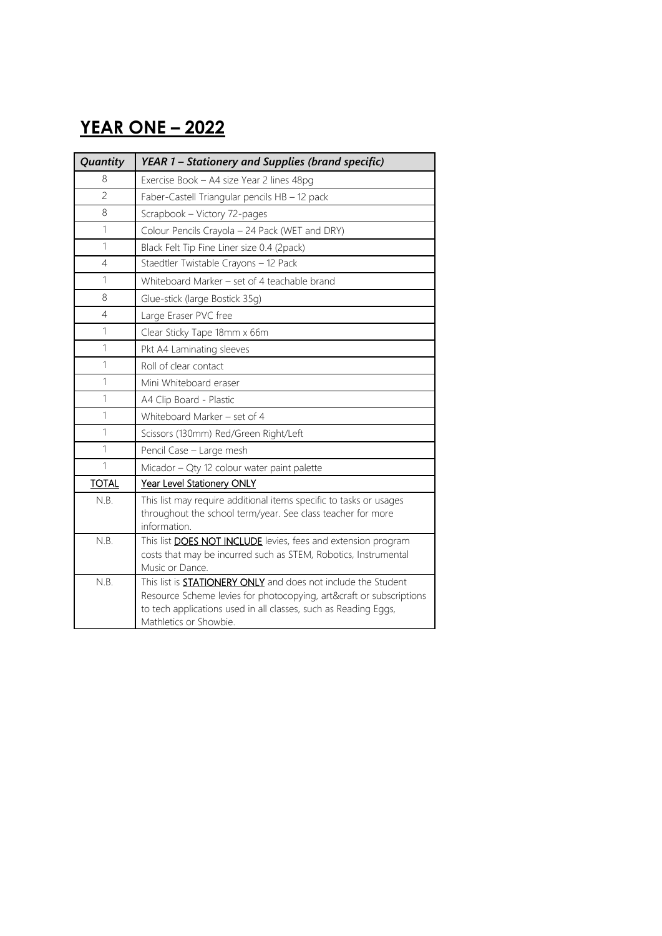### **YEAR ONE – 2022**

| Quantity       | YEAR 1 - Stationery and Supplies (brand specific)                                                                                                                                                                                        |
|----------------|------------------------------------------------------------------------------------------------------------------------------------------------------------------------------------------------------------------------------------------|
| 8              | Exercise Book - A4 size Year 2 lines 48pg                                                                                                                                                                                                |
| $\overline{c}$ | Faber-Castell Triangular pencils HB - 12 pack                                                                                                                                                                                            |
| 8              | Scrapbook - Victory 72-pages                                                                                                                                                                                                             |
| $\mathbf 1$    | Colour Pencils Crayola - 24 Pack (WET and DRY)                                                                                                                                                                                           |
| $\mathbf{1}$   | Black Felt Tip Fine Liner size 0.4 (2pack)                                                                                                                                                                                               |
| 4              | Staedtler Twistable Crayons - 12 Pack                                                                                                                                                                                                    |
| $\mathbf 1$    | Whiteboard Marker - set of 4 teachable brand                                                                                                                                                                                             |
| 8              | Glue-stick (large Bostick 35g)                                                                                                                                                                                                           |
| $\overline{4}$ | Large Eraser PVC free                                                                                                                                                                                                                    |
| $\mathbf 1$    | Clear Sticky Tape 18mm x 66m                                                                                                                                                                                                             |
| $\mathbf{1}$   | Pkt A4 Laminating sleeves                                                                                                                                                                                                                |
| $\mathbf{1}$   | Roll of clear contact                                                                                                                                                                                                                    |
| $\mathbf 1$    | Mini Whiteboard eraser                                                                                                                                                                                                                   |
| $\mathbf{1}$   | A4 Clip Board - Plastic                                                                                                                                                                                                                  |
| $\mathbf{1}$   | Whiteboard Marker - set of 4                                                                                                                                                                                                             |
| $\mathbf 1$    | Scissors (130mm) Red/Green Right/Left                                                                                                                                                                                                    |
| $\mathbf 1$    | Pencil Case - Large mesh                                                                                                                                                                                                                 |
| $\mathbf{1}$   | Micador - Qty 12 colour water paint palette                                                                                                                                                                                              |
| <b>TOTAL</b>   | Year Level Stationery ONLY                                                                                                                                                                                                               |
| N.B.           | This list may require additional items specific to tasks or usages<br>throughout the school term/year. See class teacher for more<br>information.                                                                                        |
| N.B.           | This list <b>DOES NOT INCLUDE</b> levies, fees and extension program<br>costs that may be incurred such as STEM, Robotics, Instrumental<br>Music or Dance.                                                                               |
| N.B.           | This list is <b>STATIONERY ONLY</b> and does not include the Student<br>Resource Scheme levies for photocopying, art&craft or subscriptions<br>to tech applications used in all classes, such as Reading Eggs,<br>Mathletics or Showbie. |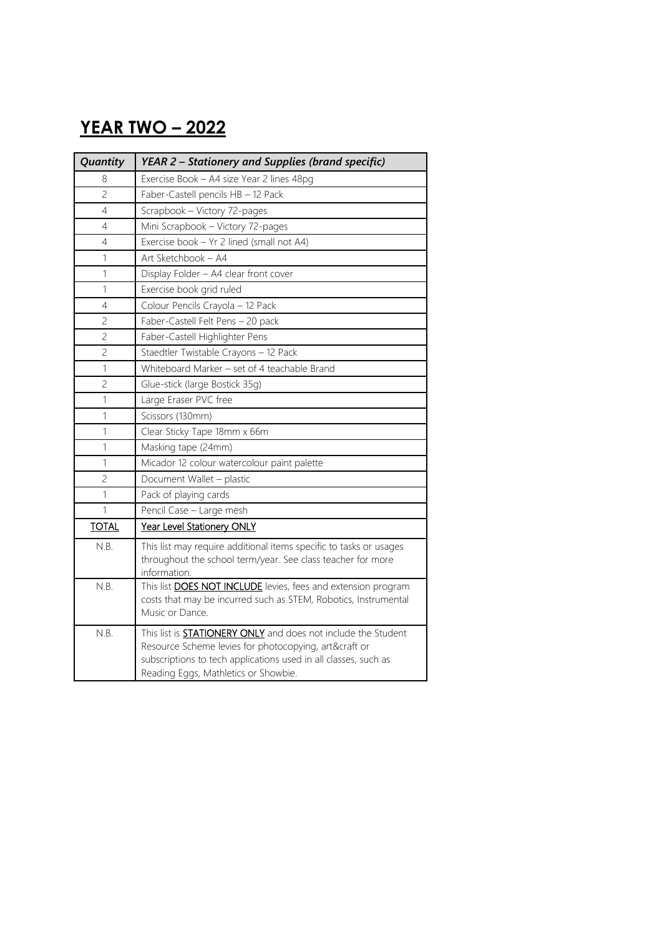### **YEAR TWO – 2022**

| Quantity       | YEAR 2 - Stationery and Supplies (brand specific)                                                                                                                                                                                        |
|----------------|------------------------------------------------------------------------------------------------------------------------------------------------------------------------------------------------------------------------------------------|
| 8              | Exercise Book - A4 size Year 2 lines 48pg                                                                                                                                                                                                |
| $\overline{c}$ | Faber-Castell pencils HB - 12 Pack                                                                                                                                                                                                       |
| 4              | Scrapbook - Victory 72-pages                                                                                                                                                                                                             |
| 4              | Mini Scrapbook - Victory 72-pages                                                                                                                                                                                                        |
| 4              | Exercise book - Yr 2 lined (small not A4)                                                                                                                                                                                                |
| 1              | Art Sketchbook - A4                                                                                                                                                                                                                      |
| $\mathbf 1$    | Display Folder - A4 clear front cover                                                                                                                                                                                                    |
| $\mathbf 1$    | Exercise book grid ruled                                                                                                                                                                                                                 |
| 4              | Colour Pencils Crayola - 12 Pack                                                                                                                                                                                                         |
| 2              | Faber-Castell Felt Pens - 20 pack                                                                                                                                                                                                        |
| $\overline{c}$ | Faber-Castell Highlighter Pens                                                                                                                                                                                                           |
| $\overline{c}$ | Staedtler Twistable Crayons - 12 Pack                                                                                                                                                                                                    |
| 1              | Whiteboard Marker - set of 4 teachable Brand                                                                                                                                                                                             |
| 2              | Glue-stick (large Bostick 35g)                                                                                                                                                                                                           |
| 1              | Large Eraser PVC free                                                                                                                                                                                                                    |
| 1              | Scissors (130mm)                                                                                                                                                                                                                         |
| 1              | Clear Sticky Tape 18mm x 66m                                                                                                                                                                                                             |
| 1              | Masking tape (24mm)                                                                                                                                                                                                                      |
| 1              | Micador 12 colour watercolour paint palette                                                                                                                                                                                              |
| $\overline{c}$ | Document Wallet - plastic                                                                                                                                                                                                                |
| 1              | Pack of playing cards                                                                                                                                                                                                                    |
| 1              | Pencil Case - Large mesh                                                                                                                                                                                                                 |
| <b>TOTAL</b>   | Year Level Stationery ONLY                                                                                                                                                                                                               |
| N.B.           | This list may require additional items specific to tasks or usages<br>throughout the school term/year. See class teacher for more                                                                                                        |
|                | information.                                                                                                                                                                                                                             |
| N.B.           | This list <b>DOES NOT INCLUDE</b> levies, fees and extension program<br>costs that may be incurred such as STEM, Robotics, Instrumental<br>Music or Dance.                                                                               |
| N.B.           | This list is <b>STATIONERY ONLY</b> and does not include the Student<br>Resource Scheme levies for photocopying, art&craft or<br>subscriptions to tech applications used in all classes, such as<br>Reading Eggs, Mathletics or Showbie. |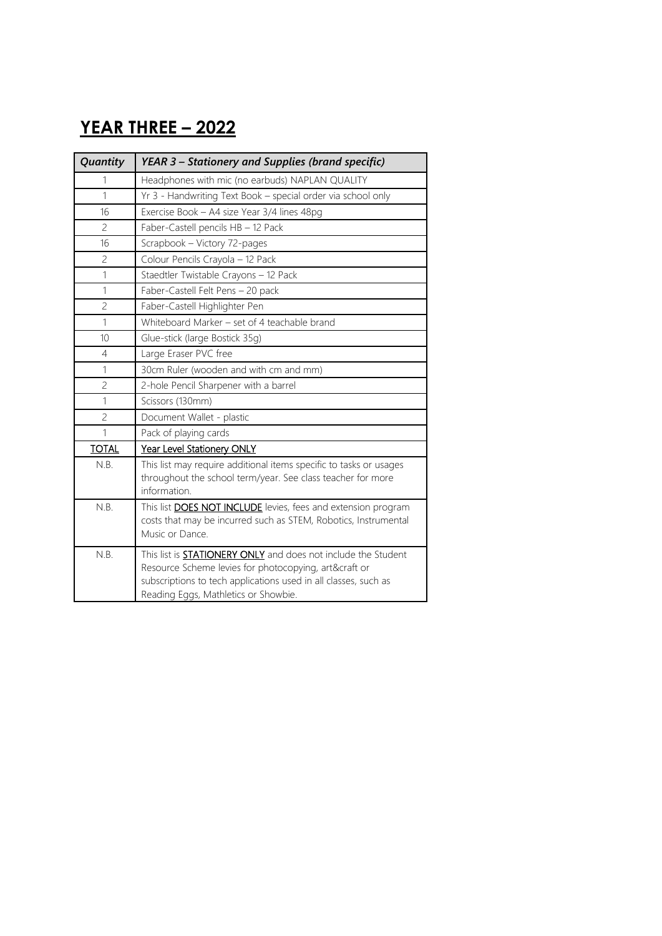# **YEAR THREE – 2022**

| Quantity       | YEAR 3 - Stationery and Supplies (brand specific)                                                                                                                                                                                        |
|----------------|------------------------------------------------------------------------------------------------------------------------------------------------------------------------------------------------------------------------------------------|
| 1              | Headphones with mic (no earbuds) NAPLAN QUALITY                                                                                                                                                                                          |
| 1              | Yr 3 - Handwriting Text Book - special order via school only                                                                                                                                                                             |
| 16             | Exercise Book - A4 size Year 3/4 lines 48pg                                                                                                                                                                                              |
| $\overline{c}$ | Faber-Castell pencils HB - 12 Pack                                                                                                                                                                                                       |
| 16             | Scrapbook - Victory 72-pages                                                                                                                                                                                                             |
| $\overline{c}$ | Colour Pencils Crayola - 12 Pack                                                                                                                                                                                                         |
| 1              | Staedtler Twistable Crayons - 12 Pack                                                                                                                                                                                                    |
| 1              | Faber-Castell Felt Pens - 20 pack                                                                                                                                                                                                        |
| $\overline{c}$ | Faber-Castell Highlighter Pen                                                                                                                                                                                                            |
| $\mathbf{1}$   | Whiteboard Marker - set of 4 teachable brand                                                                                                                                                                                             |
| 10             | Glue-stick (large Bostick 35g)                                                                                                                                                                                                           |
| 4              | Large Eraser PVC free                                                                                                                                                                                                                    |
| 1              | 30cm Ruler (wooden and with cm and mm)                                                                                                                                                                                                   |
| $\overline{c}$ | 2-hole Pencil Sharpener with a barrel                                                                                                                                                                                                    |
| 1              | Scissors (130mm)                                                                                                                                                                                                                         |
| $\overline{c}$ | Document Wallet - plastic                                                                                                                                                                                                                |
| 1              | Pack of playing cards                                                                                                                                                                                                                    |
| <b>TOTAL</b>   | Year Level Stationery ONLY                                                                                                                                                                                                               |
| N.B.           | This list may require additional items specific to tasks or usages<br>throughout the school term/year. See class teacher for more<br>information.                                                                                        |
| N.B.           | This list <b>DOES NOT INCLUDE</b> levies, fees and extension program<br>costs that may be incurred such as STEM, Robotics, Instrumental<br>Music or Dance.                                                                               |
| N.B.           | This list is <b>STATIONERY ONLY</b> and does not include the Student<br>Resource Scheme levies for photocopying, art&craft or<br>subscriptions to tech applications used in all classes, such as<br>Reading Eggs, Mathletics or Showbie. |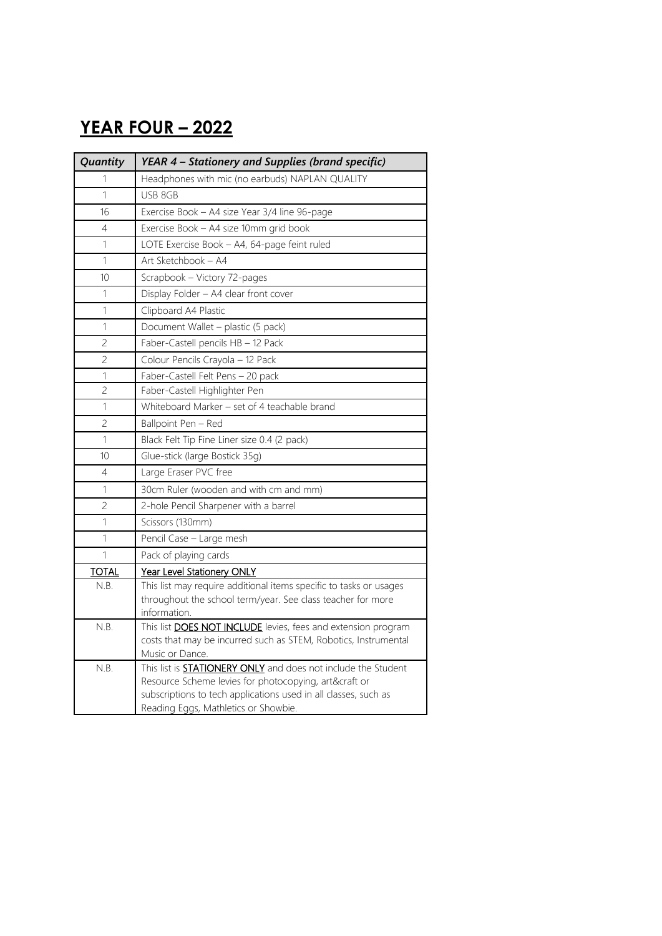## **YEAR FOUR – 2022**

| Quantity         | YEAR 4 - Stationery and Supplies (brand specific)                                                       |
|------------------|---------------------------------------------------------------------------------------------------------|
| 1                | Headphones with mic (no earbuds) NAPLAN QUALITY                                                         |
| 1                | USB 8GB                                                                                                 |
| 16               | Exercise Book - A4 size Year 3/4 line 96-page                                                           |
| 4                | Exercise Book - A4 size 10mm grid book                                                                  |
| 1                | LOTE Exercise Book - A4, 64-page feint ruled                                                            |
| 1                | Art Sketchbook - A4                                                                                     |
| 10               | Scrapbook - Victory 72-pages                                                                            |
| 1                | Display Folder - A4 clear front cover                                                                   |
| 1                | Clipboard A4 Plastic                                                                                    |
| 1                | Document Wallet - plastic (5 pack)                                                                      |
| $\overline{c}$   | Faber-Castell pencils HB - 12 Pack                                                                      |
| 2                | Colour Pencils Crayola - 12 Pack                                                                        |
| 1                | Faber-Castell Felt Pens - 20 pack                                                                       |
| 2                | Faber-Castell Highlighter Pen                                                                           |
| 1                | Whiteboard Marker - set of 4 teachable brand                                                            |
| 2                | Ballpoint Pen - Red                                                                                     |
| $\mathbf{1}$     | Black Felt Tip Fine Liner size 0.4 (2 pack)                                                             |
| 10 <sup>10</sup> | Glue-stick (large Bostick 35g)                                                                          |
| 4                | Large Eraser PVC free                                                                                   |
| 1                | 30cm Ruler (wooden and with cm and mm)                                                                  |
| 2                | 2-hole Pencil Sharpener with a barrel                                                                   |
| 1                | Scissors (130mm)                                                                                        |
| 1                | Pencil Case - Large mesh                                                                                |
| 1                | Pack of playing cards                                                                                   |
| <b>TOTAL</b>     | Year Level Stationery ONLY                                                                              |
| N.B.             | This list may require additional items specific to tasks or usages                                      |
|                  | throughout the school term/year. See class teacher for more<br>information.                             |
| N.B.             | This list <b>DOES NOT INCLUDE</b> levies, fees and extension program                                    |
|                  | costs that may be incurred such as STEM, Robotics, Instrumental                                         |
|                  | Music or Dance.                                                                                         |
| N.B.             | This list is <b>STATIONERY ONLY</b> and does not include the Student                                    |
|                  | Resource Scheme levies for photocopying, art&craft or                                                   |
|                  | subscriptions to tech applications used in all classes, such as<br>Reading Eggs, Mathletics or Showbie. |
|                  |                                                                                                         |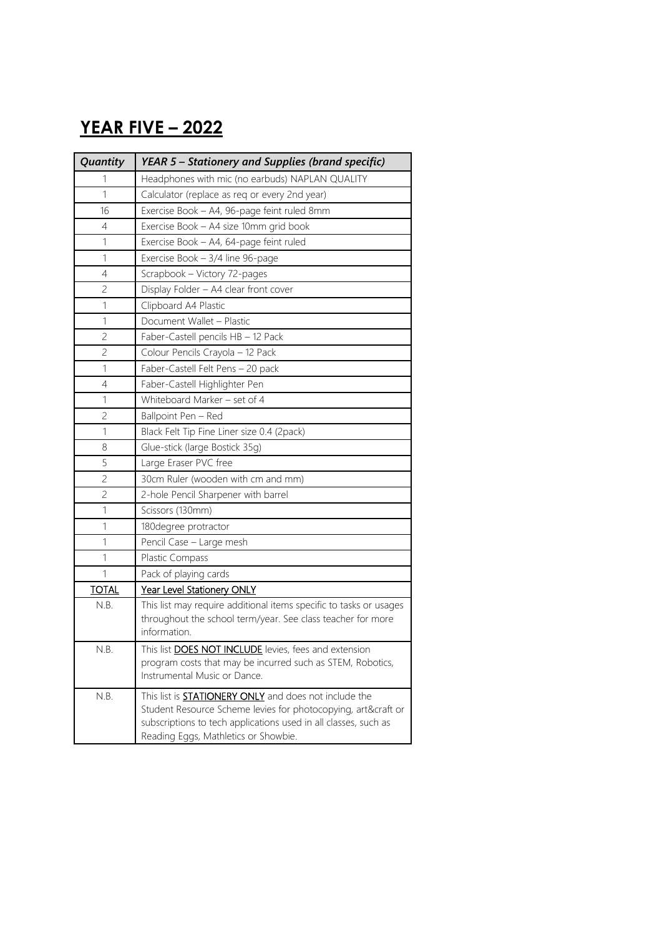## **YEAR FIVE – 2022**

| Quantity       | YEAR 5 - Stationery and Supplies (brand specific)                                                                                                                                                                                        |
|----------------|------------------------------------------------------------------------------------------------------------------------------------------------------------------------------------------------------------------------------------------|
| 1              | Headphones with mic (no earbuds) NAPLAN QUALITY                                                                                                                                                                                          |
| 1              | Calculator (replace as req or every 2nd year)                                                                                                                                                                                            |
| 16             | Exercise Book - A4, 96-page feint ruled 8mm                                                                                                                                                                                              |
| 4              | Exercise Book - A4 size 10mm grid book                                                                                                                                                                                                   |
| 1              | Exercise Book - A4, 64-page feint ruled                                                                                                                                                                                                  |
| 1              | Exercise Book - 3/4 line 96-page                                                                                                                                                                                                         |
| 4              | Scrapbook - Victory 72-pages                                                                                                                                                                                                             |
| $\overline{c}$ | Display Folder - A4 clear front cover                                                                                                                                                                                                    |
| 1              | Clipboard A4 Plastic                                                                                                                                                                                                                     |
| 1              | Document Wallet - Plastic                                                                                                                                                                                                                |
| 2              | Faber-Castell pencils HB - 12 Pack                                                                                                                                                                                                       |
| 2              | Colour Pencils Crayola - 12 Pack                                                                                                                                                                                                         |
| 1              | Faber-Castell Felt Pens - 20 pack                                                                                                                                                                                                        |
| 4              | Faber-Castell Highlighter Pen                                                                                                                                                                                                            |
| 1              | Whiteboard Marker - set of 4                                                                                                                                                                                                             |
| 2              | Ballpoint Pen - Red                                                                                                                                                                                                                      |
| 1              | Black Felt Tip Fine Liner size 0.4 (2pack)                                                                                                                                                                                               |
| 8              | Glue-stick (large Bostick 35g)                                                                                                                                                                                                           |
| 5              | Large Eraser PVC free                                                                                                                                                                                                                    |
| 2              | 30cm Ruler (wooden with cm and mm)                                                                                                                                                                                                       |
| 2              | 2-hole Pencil Sharpener with barrel                                                                                                                                                                                                      |
| 1              | Scissors (130mm)                                                                                                                                                                                                                         |
| 1              | 180degree protractor                                                                                                                                                                                                                     |
| 1              | Pencil Case - Large mesh                                                                                                                                                                                                                 |
| 1              | Plastic Compass                                                                                                                                                                                                                          |
| 1              | Pack of playing cards                                                                                                                                                                                                                    |
| <b>TOTAL</b>   | Year Level Stationery ONLY                                                                                                                                                                                                               |
| N.B.           | This list may require additional items specific to tasks or usages<br>throughout the school term/year. See class teacher for more<br>information.                                                                                        |
| N.B.           | This list <b>DOES NOT INCLUDE</b> levies, fees and extension<br>program costs that may be incurred such as STEM, Robotics,<br>Instrumental Music or Dance.                                                                               |
| N.B.           | This list is <b>STATIONERY ONLY</b> and does not include the<br>Student Resource Scheme levies for photocopying, art&craft or<br>subscriptions to tech applications used in all classes, such as<br>Reading Eggs, Mathletics or Showbie. |